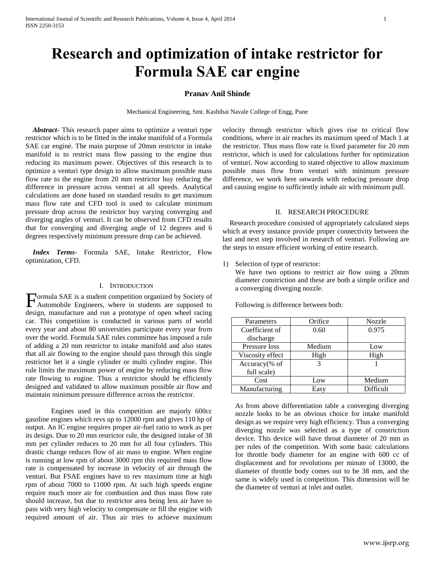# **Research and optimization of intake restrictor for Formula SAE car engine**

## **Pranav Anil Shinde**

Mechanical Engineering, Smt. Kashibai Navale College of Engg, Pune

 *Abstract***-** This research paper aims to optimize a venturi type restrictor which is to be fitted in the intake manifold of a Formula SAE car engine. The main purpose of 20mm restrictor in intake manifold is to restrict mass flow passing to the engine thus reducing its maximum power. Objectives of this research is to optimize a venturi type design to allow maximum possible mass flow rate to the engine from 20 mm restrictor buy reducing the difference in pressure across venturi at all speeds. Analytical calculations are done based on standard results to get maximum mass flow rate and CFD tool is used to calculate minimum pressure drop across the restrictor buy varying converging and diverging angles of venturi. It can be observed from CFD results that for converging and diverging angle of 12 degrees and 6 degrees respectively minimum pressure drop can be achieved.

 *Index Terms*- Formula SAE, Intake Restrictor, Flow optimization, CFD.

## I. INTRODUCTION

Formula SAE is a student competition organized by Society of Automobile Engineers, where in students are supposed to Automobile Engineers, where in students are supposed to design, manufacture and run a prototype of open wheel racing car. This competition is conducted in various parts of world every year and about 80 universities participate every year from over the world. Formula SAE rules committee has imposed a rule of adding a 20 mm restrictor to intake manifold and also states that all air flowing to the engine should pass through this single restrictor bet it a single cylinder or multi cylinder engine. This rule limits the maximum power of engine by reducing mass flow rate flowing to engine. Thus a restrictor should be efficiently designed and validated to allow maximum possible air flow and maintain minimum pressure difference across the restrictor.

Engines used in this competition are majorly 600cc gasoline engines which revs up to 12000 rpm and gives 110 hp of output. An IC engine requires proper air-fuel ratio to work as per its design. Due to 20 mm restrictor rule, the designed intake of 38 mm per cylinder reduces to 20 mm for all four cylinders. This drastic change reduces flow of air mass to engine. When engine is running at low rpm of about 3000 rpm this required mass flow rate is compensated by increase in velocity of air through the venturi. But FSAE engines have to rev maximum time at high rpm of about 7000 to 11000 rpm. At such high speeds engine require much more air for combustion and thus mass flow rate should increase, but due to restrictor area being less air have to pass with very high velocity to compensate or fill the engine with required amount of air. Thus air tries to achieve maximum

velocity through restrictor which gives rise to critical flow conditions, where in air reaches its maximum speed of Mach 1 at the restrictor. Thus mass flow rate is fixed parameter for 20 mm restrictor, which is used for calculations further for optimization of venturi. Now according to stated objective to allow maximum possible mass flow from venturi with minimum pressure difference, we work here onwards with reducing pressure drop and causing engine to sufficiently inhale air with minimum pull.

## II. RESEARCH PROCEDURE

 Research procedure consisted of appropriately calculated steps which at every instance provide proper connectivity between the last and next step involved in research of venturi. Following are the steps to ensure efficient working of entire research.

1) Selection of type of restrictor:

We have two options to restrict air flow using a 20mm diameter constriction and these are both a simple orifice and a converging diverging nozzle.

| Parameters       | Orifice | <b>Nozzle</b> |  |
|------------------|---------|---------------|--|
| Coefficient of   | 0.60    | 0.975         |  |
| discharge        |         |               |  |
| Pressure loss    | Medium  | Low           |  |
| Viscosity effect | High    | High          |  |
| Accuracy(% of    | 3       |               |  |
| full scale)      |         |               |  |
| Cost             | Low     | Medium        |  |
| Manufacturing    | Easy    | Difficult     |  |

Following is difference between both:

As from above differentiation table a converging diverging nozzle looks to be an obvious choice for intake manifold design as we require very high efficiency. Thus a converging diverging nozzle was selected as a type of constriction device. This device will have throat diameter of 20 mm as per rules of the competition. With some basic calculations for throttle body diameter for an engine with 600 cc of displacement and for revolutions per minute of 13000, the diameter of throttle body comes out to be 38 mm, and the same is widely used in competition. This dimension will be the diameter of venturi at inlet and outlet.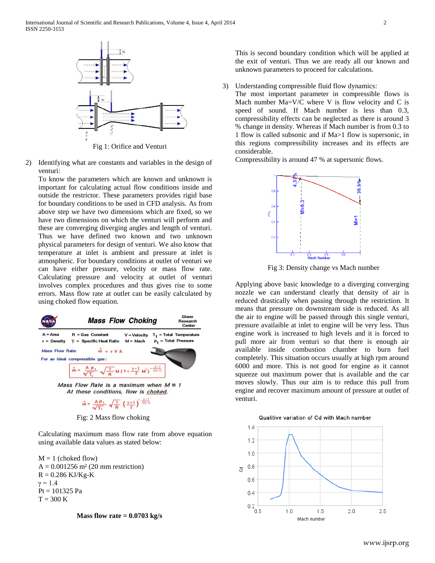

2) Identifying what are constants and variables in the design of venturi:

To know the parameters which are known and unknown is important for calculating actual flow conditions inside and outside the restrictor. These parameters provides rigid base for boundary conditions to be used in CFD analysis. As from above step we have two dimensions which are fixed, so we have two dimensions on which the venturi will perform and these are converging diverging angles and length of venturi. Thus we have defined two known and two unknown physical parameters for design of venturi. We also know that temperature at inlet is ambient and pressure at inlet is atmospheric. For boundary conditions at outlet of venturi we can have either pressure, velocity or mass flow rate. Calculating pressure and velocity at outlet of venturi involves complex procedures and thus gives rise to some errors. Mass flow rate at outlet can be easily calculated by using choked flow equation.



Fig: 2 Mass flow choking

Calculating maximum mass flow rate from above equation using available data values as stated below:

 $M = 1$  (choked flow)  $A = 0.001256$  m<sup>2</sup> (20 mm restriction)  $R = 0.286$  KJ/Kg-K  $γ = 1.4$  $Pt = 101325 Pa$  $T = 300 K$ 

# **Mass flow rate = 0.0703 kg/s**

This is second boundary condition which will be applied at the exit of venturi. Thus we are ready all our known and unknown parameters to proceed for calculations.

3) Understanding compressible fluid flow dynamics:

The most important parameter in compressible flows is Mach number Ma=V/C where V is flow velocity and C is speed of sound. If Mach number is less than 0.3, compressibility effects can be neglected as there is around 3 % change in density. Whereas if Mach number is from 0.3 to 1 flow is called subsonic and if Ma>1 flow is supersonic, in this regions compressibility increases and its effects are considerable.

Compressibility is around 47 % at supersonic flows.



Fig 3: Density change vs Mach number

Applying above basic knowledge to a diverging converging nozzle we can understand clearly that density of air is reduced drastically when passing through the restriction. It means that pressure on downstream side is reduced. As all the air to engine will be passed through this single venturi, pressure availaible at inlet to engine will be very less. Thus engine work is increased to high levels and it is forced to pull more air from venturi so that there is enough air available inside combustion chamber to burn fuel completely. This situation occurs usually at high rpm around 6000 and more. This is not good for engine as it cannot squeeze out maximum power that is available and the car moves slowly. Thus our aim is to reduce this pull from engine and recover maximum amount of pressure at outlet of venturi.



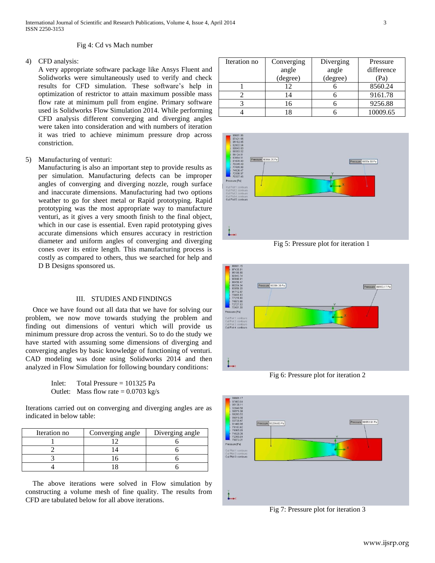#### Fig 4: Cd vs Mach number

## 4) CFD analysis:

A very appropriate software package like Ansys Fluent and Solidworks were simultaneously used to verify and check results for CFD simulation. These software's help in optimization of restrictor to attain maximum possible mass flow rate at minimum pull from engine. Primary software used is Solidworks Flow Simulation 2014. While performing CFD analysis different converging and diverging angles were taken into consideration and with numbers of iteration it was tried to achieve minimum pressure drop across constriction.

5) Manufacturing of venturi:

Manufacturing is also an important step to provide results as per simulation. Manufacturing defects can be improper angles of converging and diverging nozzle, rough surface and inaccurate dimensions. Manufacturing had two options weather to go for sheet metal or Rapid prototyping. Rapid prototyping was the most appropriate way to manufacture venturi, as it gives a very smooth finish to the final object, which in our case is essential. Even rapid prototyping gives accurate dimensions which ensures accuracy in restriction diameter and uniform angles of converging and diverging cones over its entire length. This manufacturing process is costly as compared to others, thus we searched for help and D B Designs sponsored us.

#### III. STUDIES AND FINDINGS

 Once we have found out all data that we have for solving our problem, we now move towards studying the problem and finding out dimensions of venturi which will provide us minimum pressure drop across the venturi. So to do the study we have started with assuming some dimensions of diverging and converging angles by basic knowledge of functioning of venturi. CAD modeling was done using Solidworks 2014 and then analyzed in Flow Simulation for following boundary conditions:

> Inlet: Total Pressure = 101325 Pa Outlet: Mass flow rate  $= 0.0703$  kg/s

Iterations carried out on converging and diverging angles are as indicated in below table:

| Iteration no | Converging angle | Diverging angle |  |
|--------------|------------------|-----------------|--|
|              |                  |                 |  |
|              |                  |                 |  |
|              |                  |                 |  |
|              |                  |                 |  |

 The above iterations were solved in Flow simulation by constructing a volume mesh of fine quality. The results from CFD are tabulated below for all above iterations.

| Iteration no | Converging | Diverging | Pressure   |
|--------------|------------|-----------|------------|
|              | angle      | angle     | difference |
|              | (degree)   | (degree)  |            |
|              | 12         |           | 8560.24    |
|              |            |           | 9161.78    |
|              | 16         |           | 9256.88    |
|              | 8          |           | 10009.65   |





Fig 6: Pressure plot for iteration 2



Fig 7: Pressure plot for iteration 3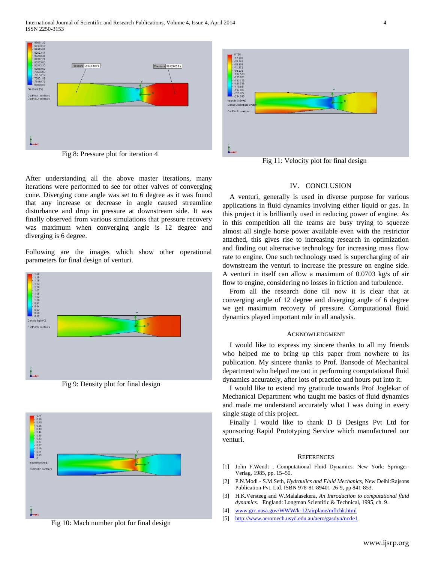International Journal of Scientific and Research Publications, Volume 4, Issue 4, April 2014 4 ISSN 2250-3153



Fig 8: Pressure plot for iteration 4



Fig 11: Velocity plot for final design

After understanding all the above master iterations, many iterations were performed to see for other valves of converging cone. Diverging cone angle was set to 6 degree as it was found that any increase or decrease in angle caused streamline disturbance and drop in pressure at downstream side. It was finally observed from various simulations that pressure recovery was maximum when converging angle is 12 degree and diverging is 6 degree.

Following are the images which show other operational parameters for final design of venturi.



Fig 9: Density plot for final design



Fig 10: Mach number plot for final design

#### IV. CONCLUSION

A venturi, generally is used in diverse purpose for various applications in fluid dynamics involving either liquid or gas. In this project it is brilliantly used in reducing power of engine. As in this competition all the teams are busy trying to squeeze almost all single horse power available even with the restrictor attached, this gives rise to increasing research in optimization and finding out alternative technology for increasing mass flow rate to engine. One such technology used is supercharging of air downstream the venturi to increase the pressure on engine side. A venturi in itself can allow a maximum of 0.0703 kg/s of air flow to engine, considering no losses in friction and turbulence.

From all the research done till now it is clear that at converging angle of 12 degree and diverging angle of 6 degree we get maximum recovery of pressure. Computational fluid dynamics played important role in all analysis.

#### ACKNOWLEDGMENT

I would like to express my sincere thanks to all my friends who helped me to bring up this paper from nowhere to its publication. My sincere thanks to Prof. Bansode of Mechanical department who helped me out in performing computational fluid dynamics accurately, after lots of practice and hours put into it.

I would like to extend my gratitude towards Prof Joglekar of Mechanical Department who taught me basics of fluid dynamics and made me understand accurately what I was doing in every single stage of this project.

Finally I would like to thank D B Designs Pvt Ltd for sponsoring Rapid Prototyping Service which manufactured our venturi.

#### **REFERENCES**

- [1] John F.Wendt , Computational Fluid Dynamics. New York: Springer-Verlag, 1985, pp. 15–50.
- [2] P.N.Modi S.M.Seth, *Hydraulics and Fluid Mechanics*, New Delhi:Rajsons Publication Pvt. Ltd. ISBN 978-81-89401-26-9, pp 841-853.
- [3] H.K.Versteeg and W.Malalasekera, *An Introduction to computational fluid dynamics*. England: Longman Scientific & Technical, 1995, ch. 9.
- [4] [www.grc.nasa.gov/WWW/k-12/airplane/mflchk.html](http://www.grc.nasa.gov/WWW/k-12/airplane/mflchk.html)
- [5] <http://www.aeromech.usyd.edu.au/aero/gasdyn/node1>